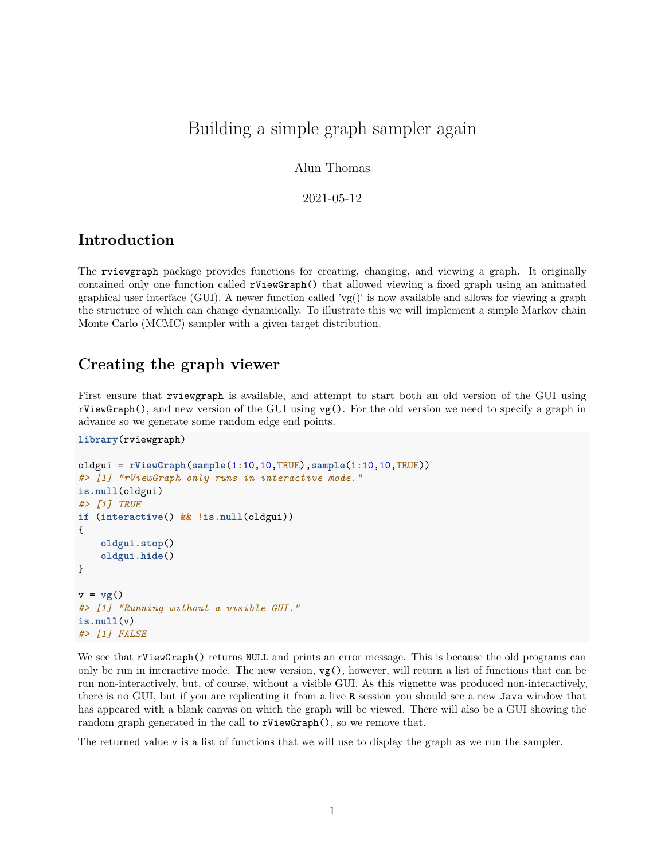# Building a simple graph sampler again

Alun Thomas

2021-05-12

## **Introduction**

The rviewgraph package provides functions for creating, changing, and viewing a graph. It originally contained only one function called rViewGraph() that allowed viewing a fixed graph using an animated graphical user interface (GUI). A newer function called 'vg()' is now available and allows for viewing a graph the structure of which can change dynamically. To illustrate this we will implement a simple Markov chain Monte Carlo (MCMC) sampler with a given target distribution.

### **Creating the graph viewer**

First ensure that rviewgraph is available, and attempt to start both an old version of the GUI using rViewGraph(), and new version of the GUI using vg(). For the old version we need to specify a graph in advance so we generate some random edge end points.

```
library(rviewgraph)
```

```
oldgui = rViewGraph(sample(1:10, 10, TRUE), sample(1:10, 10, TRUE))#> [1] "rViewGraph only runs in interactive mode."
is.null(oldgui)
#> [1] TRUE
if (interactive() && !is.null(oldgui))
{
    oldgui.stop()
    oldgui.hide()
}
v = vg()#> [1] "Running without a visible GUI."
is.null(v)#> [1] FALSE
```
We see that rViewGraph() returns NULL and prints an error message. This is because the old programs can only be run in interactive mode. The new version,  $vg()$ , however, will return a list of functions that can be run non-interactively, but, of course, without a visible GUI. As this vignette was produced non-interactively, there is no GUI, but if you are replicating it from a live R session you should see a new Java window that has appeared with a blank canvas on which the graph will be viewed. There will also be a GUI showing the random graph generated in the call to rViewGraph(), so we remove that.

The returned value v is a list of functions that we will use to display the graph as we run the sampler.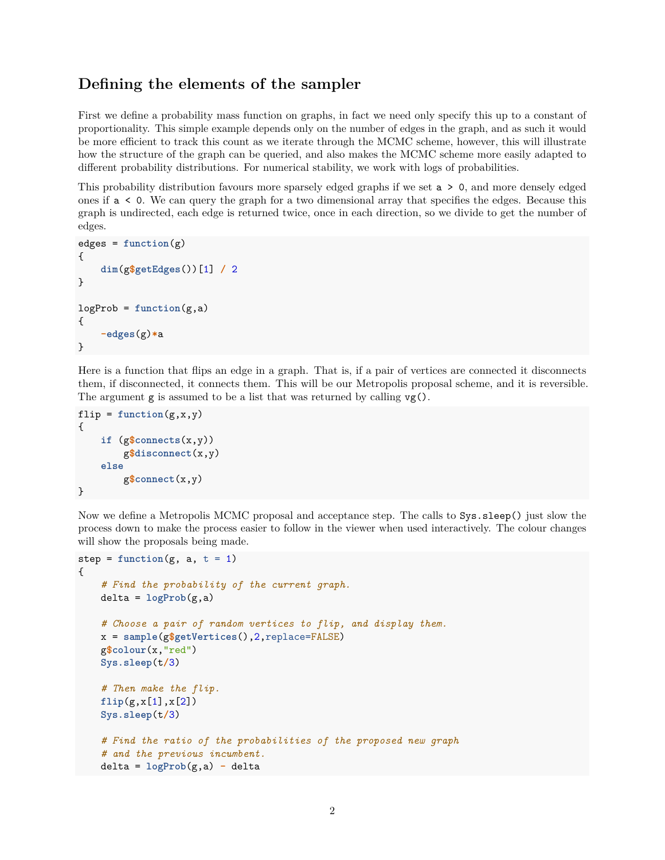## **Defining the elements of the sampler**

First we define a probability mass function on graphs, in fact we need only specify this up to a constant of proportionality. This simple example depends only on the number of edges in the graph, and as such it would be more efficient to track this count as we iterate through the MCMC scheme, however, this will illustrate how the structure of the graph can be queried, and also makes the MCMC scheme more easily adapted to different probability distributions. For numerical stability, we work with logs of probabilities.

This probability distribution favours more sparsely edged graphs if we set  $a > 0$ , and more densely edged ones if a < 0. We can query the graph for a two dimensional array that specifies the edges. Because this graph is undirected, each edge is returned twice, once in each direction, so we divide to get the number of edges.

```
edges = function(g){
    dim(g$getEdges())[1] / 2
}
logProb = function(g, a){
    -edges(g)*a
}
```
Here is a function that flips an edge in a graph. That is, if a pair of vertices are connected it disconnects them, if disconnected, it connects them. This will be our Metropolis proposal scheme, and it is reversible. The argument  $g$  is assumed to be a list that was returned by calling  $vg()$ .

```
flip = function(g, x, y){
    if (g$connects(x,y))g$disconnect(x,y)
    else
        g$connect(x,y)
}
```
Now we define a Metropolis MCMC proposal and acceptance step. The calls to Sys.sleep() just slow the process down to make the process easier to follow in the viewer when used interactively. The colour changes will show the proposals being made.

```
step = function(g, a, t = 1){
    # Find the probability of the current graph.
   delta = logProb(g, a)# Choose a pair of random vertices to flip, and display them.
   x = sample(g$getVertices(),2,replace=FALSE)
    g$colour(x,"red")
   Sys.sleep(t/3)
    # Then make the flip.
   flip(g, x[1], x[2])Sys.sleep(t/3)
    # Find the ratio of the probabilities of the proposed new graph
    # and the previous incumbent.
   delta = logProb(g, a) - delta
```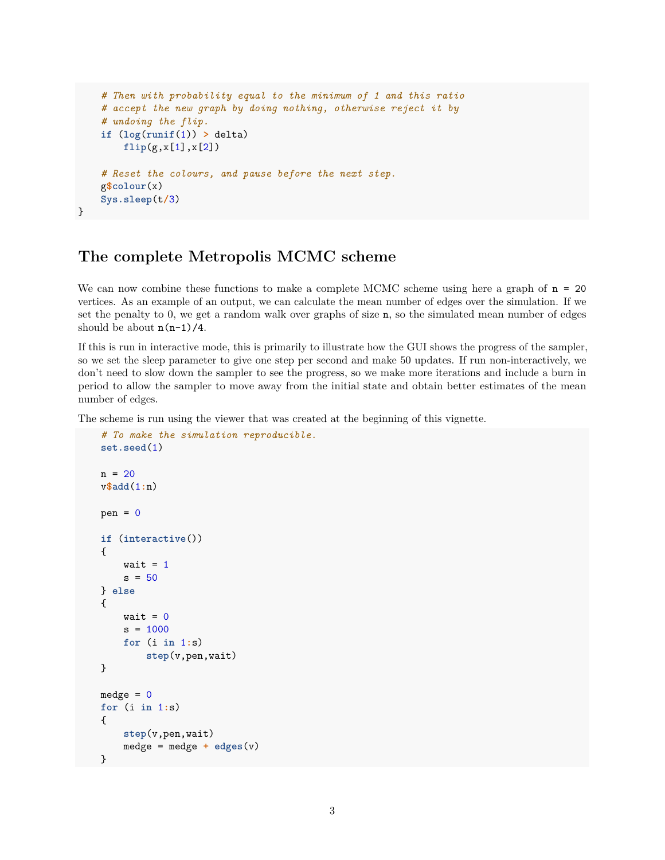```
# Then with probability equal to the minimum of 1 and this ratio
    # accept the new graph by doing nothing, otherwise reject it by
    # undoing the flip.
   if (log(runif(1)) > delta)flip(g,x[1],x[2])
    # Reset the colours, and pause before the next step.
   g$colour(x)
   Sys.sleep(t/3)
}
```
#### **The complete Metropolis MCMC scheme**

We can now combine these functions to make a complete MCMC scheme using here a graph of  $n = 20$ vertices. As an example of an output, we can calculate the mean number of edges over the simulation. If we set the penalty to 0, we get a random walk over graphs of size n, so the simulated mean number of edges should be about  $n(n-1)/4$ .

If this is run in interactive mode, this is primarily to illustrate how the GUI shows the progress of the sampler, so we set the sleep parameter to give one step per second and make 50 updates. If run non-interactively, we don't need to slow down the sampler to see the progress, so we make more iterations and include a burn in period to allow the sampler to move away from the initial state and obtain better estimates of the mean number of edges.

The scheme is run using the viewer that was created at the beginning of this vignette.

```
# To make the simulation reproducible.
set.seed(1)
n = 20v$add(1:n)pen = 0if (interactive())
{
    wait = 1s = 50} else
{
    wait = 0s = 1000for (i \in 1:s)step(v,pen,wait)
}
medge = 0for (i in 1:s)
{
    step(v,pen,wait)
    medge = medge + edges(v)}
```